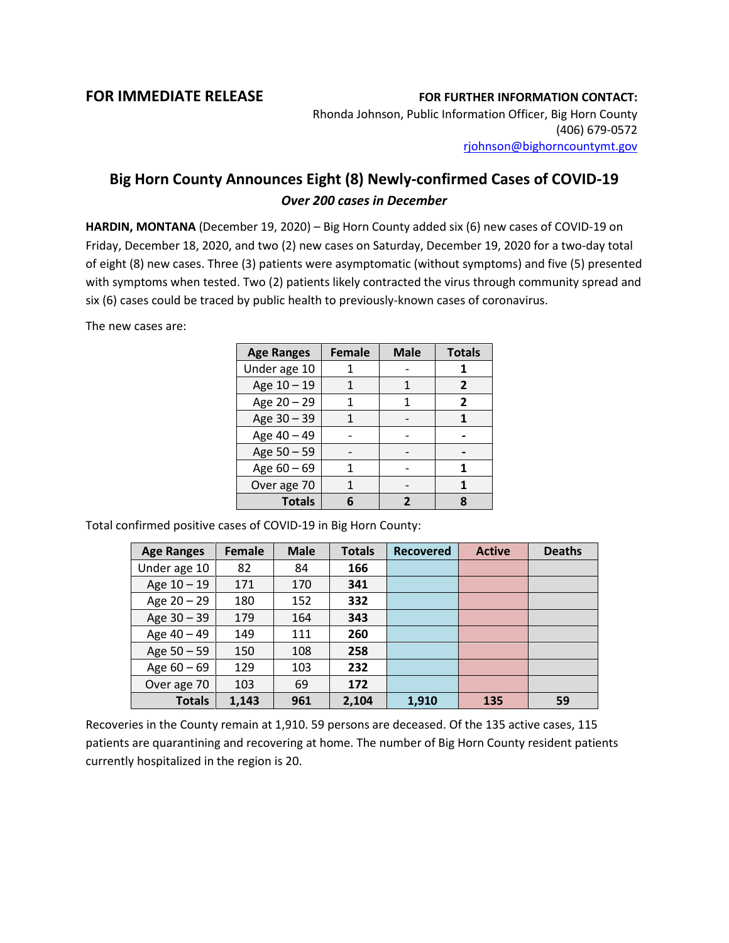## **FOR IMMEDIATE RELEASE FOR FURTHER INFORMATION CONTACT:**

Rhonda Johnson, Public Information Officer, Big Horn County (406) 679-0572 [rjohnson@bighorncountymt.gov](mailto:rjohnson@bighorncountymt.gov)

## **Big Horn County Announces Eight (8) Newly-confirmed Cases of COVID-19** *Over 200 cases in December*

**HARDIN, MONTANA** (December 19, 2020) – Big Horn County added six (6) new cases of COVID-19 on Friday, December 18, 2020, and two (2) new cases on Saturday, December 19, 2020 for a two-day total of eight (8) new cases. Three (3) patients were asymptomatic (without symptoms) and five (5) presented with symptoms when tested. Two (2) patients likely contracted the virus through community spread and six (6) cases could be traced by public health to previously-known cases of coronavirus.

The new cases are:

| <b>Age Ranges</b> | <b>Female</b> | <b>Male</b> | <b>Totals</b> |
|-------------------|---------------|-------------|---------------|
| Under age 10      |               |             |               |
| Age 10 - 19       |               |             | 2             |
| Age 20 - 29       |               | 1           | 2             |
| Age 30 - 39       |               |             |               |
| Age 40 - 49       |               |             |               |
| Age 50 - 59       |               |             |               |
| Age $60 - 69$     |               |             |               |
| Over age 70       |               |             |               |
| <b>Totals</b>     |               |             | Я             |

Total confirmed positive cases of COVID-19 in Big Horn County:

| <b>Age Ranges</b> | <b>Female</b> | <b>Male</b> | <b>Totals</b> | <b>Recovered</b> | <b>Active</b> | <b>Deaths</b> |
|-------------------|---------------|-------------|---------------|------------------|---------------|---------------|
| Under age 10      | 82            | 84          | 166           |                  |               |               |
| Age $10 - 19$     | 171           | 170         | 341           |                  |               |               |
| Age $20 - 29$     | 180           | 152         | 332           |                  |               |               |
| Age $30 - 39$     | 179           | 164         | 343           |                  |               |               |
| Age 40 - 49       | 149           | 111         | 260           |                  |               |               |
| Age $50 - 59$     | 150           | 108         | 258           |                  |               |               |
| Age $60 - 69$     | 129           | 103         | 232           |                  |               |               |
| Over age 70       | 103           | 69          | 172           |                  |               |               |
| <b>Totals</b>     | 1,143         | 961         | 2,104         | 1,910            | 135           | 59            |

Recoveries in the County remain at 1,910. 59 persons are deceased. Of the 135 active cases, 115 patients are quarantining and recovering at home. The number of Big Horn County resident patients currently hospitalized in the region is 20.